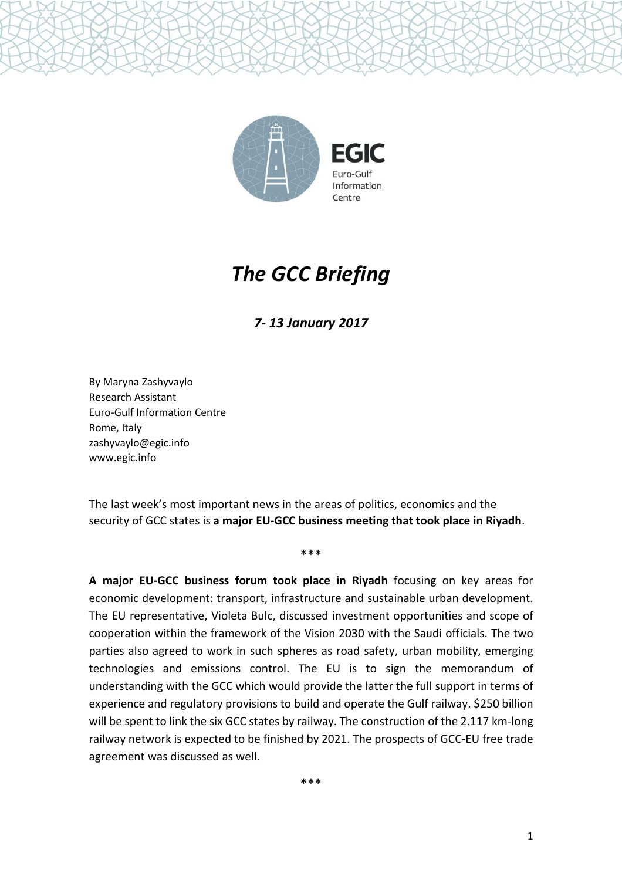

# *The GCC Briefing*

*7- 13 January 2017*

By Maryna Zashyvaylo Research Assistant Euro-Gulf Information Centre Rome, Italy zashyvaylo@egic.info www.egic.info

The last week's most important news in the areas of politics, economics and the security of GCC states is **a major EU-GCC business meeting that took place in Riyadh**.

\*\*\*

**A major EU-GCC business forum took place in Riyadh** focusing on key areas for economic development: transport, infrastructure and sustainable urban development. The EU representative, Violeta Bulc, discussed investment opportunities and scope of cooperation within the framework of the Vision 2030 with the Saudi officials. The two parties also agreed to work in such spheres as road safety, urban mobility, emerging technologies and emissions control. The EU is to sign the memorandum of understanding with the GCC which would provide the latter the full support in terms of experience and regulatory provisions to build and operate the Gulf railway. \$250 billion will be spent to link the six GCC states by railway. The construction of the 2.117 km-long railway network is expected to be finished by 2021. The prospects of GCC-EU free trade agreement was discussed as well.

\*\*\*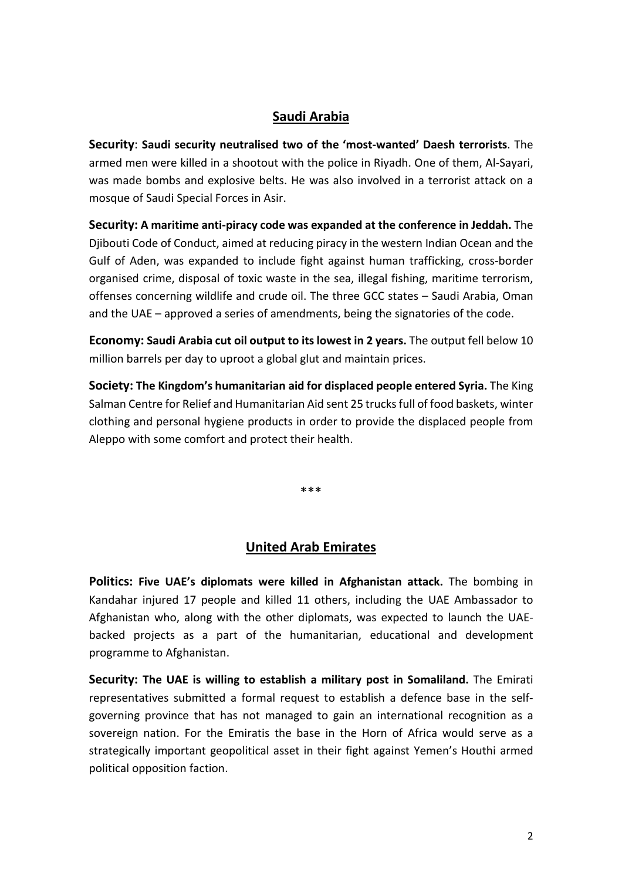### **Saudi Arabia**

**Security**: **Saudi security neutralised two of the 'most-wanted' Daesh terrorists**. The armed men were killed in a shootout with the police in Riyadh. One of them, Al-Sayari, was made bombs and explosive belts. He was also involved in a terrorist attack on a mosque of Saudi Special Forces in Asir.

**Security: A maritime anti-piracy code was expanded at the conference in Jeddah.** The Djibouti Code of Conduct, aimed at reducing piracy in the western Indian Ocean and the Gulf of Aden, was expanded to include fight against human trafficking, cross-border organised crime, disposal of toxic waste in the sea, illegal fishing, maritime terrorism, offenses concerning wildlife and crude oil. The three GCC states – Saudi Arabia, Oman and the UAE – approved a series of amendments, being the signatories of the code.

**Economy: Saudi Arabia cut oil output to its lowest in 2 years.** The output fell below 10 million barrels per day to uproot a global glut and maintain prices.

**Society: The Kingdom's humanitarian aid for displaced people entered Syria.** The King Salman Centre for Relief and Humanitarian Aid sent 25 trucksfull of food baskets, winter clothing and personal hygiene products in order to provide the displaced people from Aleppo with some comfort and protect their health.

\*\*\*

#### **United Arab Emirates**

**Politics: Five UAE's diplomats were killed in Afghanistan attack.** The bombing in Kandahar injured 17 people and killed 11 others, including the UAE Ambassador to Afghanistan who, along with the other diplomats, was expected to launch the UAEbacked projects as a part of the humanitarian, educational and development programme to Afghanistan.

**Security: The UAE is willing to establish a military post in Somaliland.** The Emirati representatives submitted a formal request to establish a defence base in the selfgoverning province that has not managed to gain an international recognition as a sovereign nation. For the Emiratis the base in the Horn of Africa would serve as a strategically important geopolitical asset in their fight against Yemen's Houthi armed political opposition faction.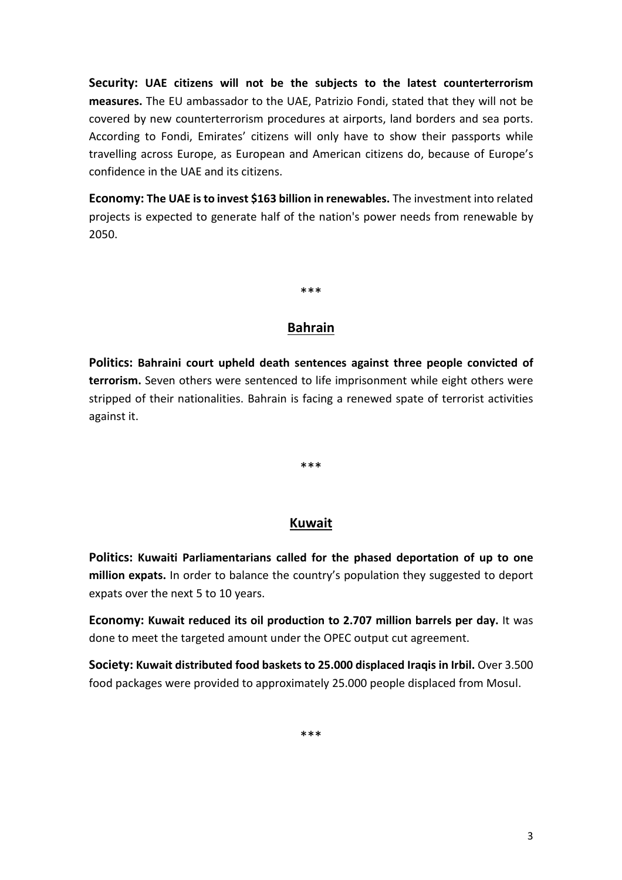**Security: UAE citizens will not be the subjects to the latest counterterrorism measures.** The EU ambassador to the UAE, Patrizio Fondi, stated that they will not be covered by new counterterrorism procedures at airports, land borders and sea ports. According to Fondi, Emirates' citizens will only have to show their passports while travelling across Europe, as European and American citizens do, because of Europe's confidence in the UAE and its citizens.

**Economy: The UAE isto invest \$163 billion in renewables.** The investment into related projects is expected to generate half of the nation's power needs from renewable by 2050.

\*\*\*

# **Bahrain**

**Politics: Bahraini court upheld death sentences against three people convicted of terrorism.** Seven others were sentenced to life imprisonment while eight others were stripped of their nationalities. Bahrain is facing a renewed spate of terrorist activities against it.

\*\*\*

# **Kuwait**

**Politics: Kuwaiti Parliamentarians called for the phased deportation of up to one million expats.** In order to balance the country's population they suggested to deport expats over the next 5 to 10 years.

**Economy: Kuwait reduced its oil production to 2.707 million barrels per day.** It was done to meet the targeted amount under the OPEC output cut agreement.

**Society: Kuwait distributed food baskets to 25.000 displaced Iraqis in Irbil.** Over 3.500 food packages were provided to approximately 25.000 people displaced from Mosul.

\*\*\*